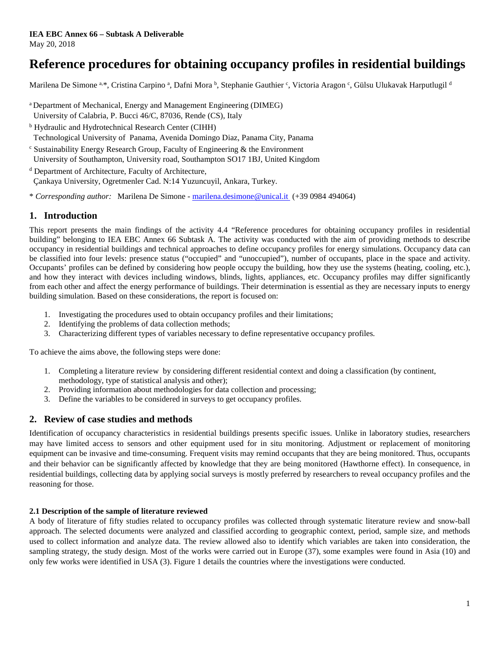# **Reference procedures for obtaining occupancy profiles in residential buildings**

Marilena De Simone <sup>a, \*</sup>, Cristina Carpino <sup>a</sup>, Dafni Mora <sup>b</sup>, Stephanie Gauthier <sup>c</sup>, Victoria Aragon <sup>c</sup>, Gülsu Ulukavak Harputlugil <sup>d</sup>

- a Department of Mechanical, Energy and Management Engineering (DIMEG) University of Calabria, P. Bucci 46/C, 87036, Rende (CS), Italy
- <sup>b</sup> Hydraulic and Hydrotechnical Research Center (CIHH)
- Technological University of Panama, Avenida Domingo Diaz, Panama City, Panama
- $\epsilon$  Sustainability Energy Research Group, Faculty of Engineering  $\&$  the Environment University of Southampton, University road, Southampton SO17 1BJ, United Kingdom
- <sup>d</sup> Department of Architecture, Faculty of Architecture, Çankaya University, Ogretmenler Cad. N:14 Yuzuncuyil, Ankara, Turkey.
- \* *Corresponding author:* Marilena De Simone [marilena.desimone@unical.it](mailto:marilena.desimone@unical.it) (+39 0984 494064)

# **1. Introduction**

This report presents the main findings of the activity 4.4 "Reference procedures for obtaining occupancy profiles in residential building" belonging to IEA EBC Annex 66 Subtask A. The activity was conducted with the aim of providing methods to describe occupancy in residential buildings and technical approaches to define occupancy profiles for energy simulations. Occupancy data can be classified into four levels: presence status ("occupied" and "unoccupied"), number of occupants, place in the space and activity. Occupants' profiles can be defined by considering how people occupy the building, how they use the systems (heating, cooling, etc.), and how they interact with devices including windows, blinds, lights, appliances, etc. Occupancy profiles may differ significantly from each other and affect the energy performance of buildings. Their determination is essential as they are necessary inputs to energy building simulation. Based on these considerations, the report is focused on:

- 1. Investigating the procedures used to obtain occupancy profiles and their limitations;
- 2. Identifying the problems of data collection methods;
- 3. Characterizing different types of variables necessary to define representative occupancy profiles.

To achieve the aims above, the following steps were done:

- 1. Completing a literature review by considering different residential context and doing a classification (by continent, methodology, type of statistical analysis and other);
- 2. Providing information about methodologies for data collection and processing;
- 3. Define the variables to be considered in surveys to get occupancy profiles.

## **2. Review of case studies and methods**

Identification of occupancy characteristics in residential buildings presents specific issues. Unlike in laboratory studies, researchers may have limited access to sensors and other equipment used for in situ monitoring. Adjustment or replacement of monitoring equipment can be invasive and time-consuming. Frequent visits may remind occupants that they are being monitored. Thus, occupants and their behavior can be significantly affected by knowledge that they are being monitored (Hawthorne effect). In consequence, in residential buildings, collecting data by applying social surveys is mostly preferred by researchers to reveal occupancy profiles and the reasoning for those.

## **2.1 Description of the sample of literature reviewed**

A body of literature of fifty studies related to occupancy profiles was collected through systematic literature review and snow-ball approach. The selected documents were analyzed and classified according to geographic context, period, sample size, and methods used to collect information and analyze data. The review allowed also to identify which variables are taken into consideration, the sampling strategy, the study design. Most of the works were carried out in Europe (37), some examples were found in Asia (10) and only few works were identified in USA (3). Figure 1 details the countries where the investigations were conducted.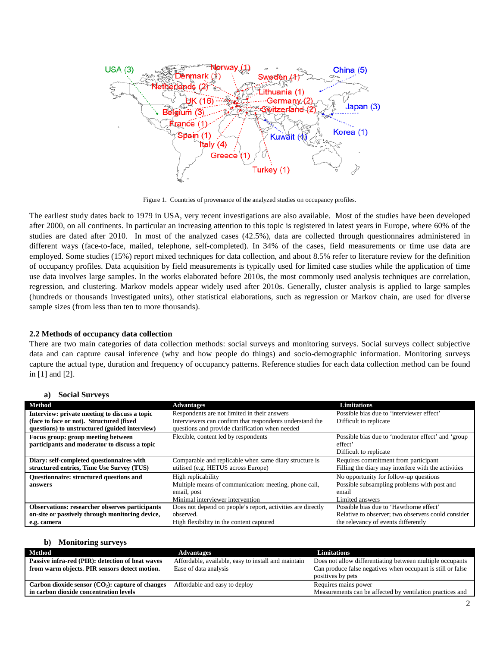

Figure 1. Countries of provenance of the analyzed studies on occupancy profiles.

The earliest study dates back to 1979 in USA, very recent investigations are also available. Most of the studies have been developed after 2000, on all continents. In particular an increasing attention to this topic is registered in latest years in Europe, where 60% of the studies are dated after 2010. In most of the analyzed cases (42.5%), data are collected through questionnaires administered in different ways (face-to-face, mailed, telephone, self-completed). In 34% of the cases, field measurements or time use data are employed. Some studies (15%) report mixed techniques for data collection, and about 8.5% refer to literature review for the definition of occupancy profiles. Data acquisition by field measurements is typically used for limited case studies while the application of time use data involves large samples. In the works elaborated before 2010s, the most commonly used analysis techniques are correlation, regression, and clustering. Markov models appear widely used after 2010s. Generally, cluster analysis is applied to large samples (hundreds or thousands investigated units), other statistical elaborations, such as regression or Markov chain, are used for diverse sample sizes (from less than ten to more thousands).

#### **2.2 Methods of occupancy data collection**

There are two main categories of data collection methods: social surveys and monitoring surveys. Social surveys collect subjective data and can capture causal inference (why and how people do things) and socio-demographic information. Monitoring surveys capture the actual type, duration and frequency of occupancy patterns. Reference studies for each data collection method can be found in [1] and [2].

#### **a) Social Surveys**

| Method                                                                                    | <b>Advantages</b>                                                                                                              | <b>Limitations</b>                                                                                                |
|-------------------------------------------------------------------------------------------|--------------------------------------------------------------------------------------------------------------------------------|-------------------------------------------------------------------------------------------------------------------|
| Interview: private meeting to discuss a topic                                             | Respondents are not limited in their answers                                                                                   | Possible bias due to 'interviewer effect'                                                                         |
| (face to face or not). Structured (fixed<br>questions) to unstructured (guided interview) | Interviewers can confirm that respondents understand the<br>questions and provide clarification when needed                    | Difficult to replicate                                                                                            |
| Focus group: group meeting between<br>participants and moderator to discuss a topic       | Flexible, content led by respondents                                                                                           | Possible bias due to 'moderator effect' and 'group<br>effect'<br>Difficult to replicate                           |
| Diary: self-completed questionnaires with<br>structured entries, Time Use Survey (TUS)    | Comparable and replicable when same diary structure is<br>utilised (e.g. HETUS across Europe)                                  | Requires commitment from participant<br>Filling the diary may interfere with the activities                       |
| <b>Ouestionnaire: structured questions and</b><br>answers                                 | High replicability<br>Multiple means of communication: meeting, phone call,<br>email, post<br>Minimal interviewer intervention | No opportunity for follow-up questions<br>Possible subsampling problems with post and<br>email<br>Limited answers |
| <b>Observations: researcher observes participants</b>                                     | Does not depend on people's report, activities are directly                                                                    | Possible bias due to 'Hawthorne effect'                                                                           |
| on-site or passively through monitoring device,                                           | observed.                                                                                                                      | Relative to observer; two observers could consider                                                                |
| e.g. camera                                                                               | High flexibility in the content captured                                                                                       | the relevancy of events differently                                                                               |

| <b>Monitoring surveys</b><br>b)                     |                                                     |                                                             |
|-----------------------------------------------------|-----------------------------------------------------|-------------------------------------------------------------|
| Method                                              | <b>Advantages</b>                                   | <b>Limitations</b>                                          |
| Passive infra-red (PIR): detection of heat waves    | Affordable, available, easy to install and maintain | Does not allow differentiating between multiple occupants   |
| from warm objects. PIR sensors detect motion.       | Ease of data analysis                               | Can produce false negatives when occupant is still or false |
|                                                     |                                                     | positives by pets                                           |
| Carbon dioxide sensor $(CO_2)$ : capture of changes | Affordable and easy to deploy                       | Requires mains power                                        |
| in carbon dioxide concentration levels              |                                                     | Measurements can be affected by ventilation practices and   |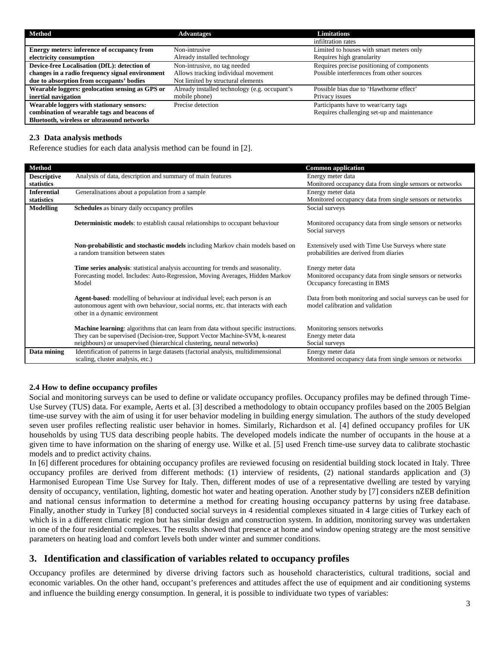| Method                                          | <b>Advantages</b>                             | <b>Limitations</b>                          |
|-------------------------------------------------|-----------------------------------------------|---------------------------------------------|
|                                                 |                                               | infiltration rates                          |
| Energy meters: inference of occupancy from      | Non-intrusive                                 | Limited to houses with smart meters only    |
| electricity consumption                         | Already installed technology                  | Requires high granularity                   |
| Device-free Localisation (DfL): detection of    | Non-intrusive, no tag needed                  | Requires precise positioning of components  |
| changes in a radio frequency signal environment | Allows tracking individual movement           | Possible interferences from other sources   |
| due to absorption from occupants' bodies        | Not limited by structural elements            |                                             |
| Wearable loggers: geolocation sensing as GPS or | Already installed technology (e.g. occupant's | Possible bias due to 'Hawthorne effect'     |
| inertial navigation                             | mobile phone)                                 | Privacy issues                              |
| Wearable loggers with stationary sensors:       | Precise detection                             | Participants have to wear/carry tags        |
| combination of wearable tags and beacons of     |                                               | Requires challenging set-up and maintenance |
| Bluetooth, wireless or ultrasound networks      |                                               |                                             |

## **2.3 Data analysis methods**

Reference studies for each data analysis method can be found in [2].

| <b>Method</b>      |                                                                                                                      | <b>Common application</b>                                                                    |
|--------------------|----------------------------------------------------------------------------------------------------------------------|----------------------------------------------------------------------------------------------|
| <b>Descriptive</b> | Analysis of data, description and summary of main features                                                           | Energy meter data                                                                            |
| statistics         |                                                                                                                      | Monitored occupancy data from single sensors or networks                                     |
| <b>Inferential</b> | Generalisations about a population from a sample                                                                     | Energy meter data                                                                            |
| statistics         |                                                                                                                      | Monitored occupancy data from single sensors or networks                                     |
| <b>Modelling</b>   | <b>Schedules</b> as binary daily occupancy profiles                                                                  | Social surveys                                                                               |
|                    |                                                                                                                      |                                                                                              |
|                    | <b>Deterministic models:</b> to establish causal relationships to occupant behaviour                                 | Monitored occupancy data from single sensors or networks                                     |
|                    |                                                                                                                      | Social surveys                                                                               |
|                    |                                                                                                                      |                                                                                              |
|                    | Non-probabilistic and stochastic models including Markov chain models based on<br>a random transition between states | Extensively used with Time Use Surveys where state<br>probabilities are derived from diaries |
|                    |                                                                                                                      |                                                                                              |
|                    | Time series analysis: statistical analysis accounting for trends and seasonality.                                    | Energy meter data                                                                            |
|                    | Forecasting model. Includes: Auto-Regression, Moving Averages, Hidden Markov                                         | Monitored occupancy data from single sensors or networks                                     |
|                    | Model                                                                                                                | Occupancy forecasting in BMS                                                                 |
|                    |                                                                                                                      |                                                                                              |
|                    | Agent-based: modelling of behaviour at individual level; each person is an                                           | Data from both monitoring and social surveys can be used for                                 |
|                    | autonomous agent with own behaviour, social norms, etc. that interacts with each                                     | model calibration and validation                                                             |
|                    | other in a dynamic environment                                                                                       |                                                                                              |
|                    |                                                                                                                      |                                                                                              |
|                    | <b>Machine learning:</b> algorithms that can learn from data without specific instructions.                          | Monitoring sensors networks                                                                  |
|                    | They can be supervised (Decision-tree, Support Vector Machine-SVM, k-nearest                                         | Energy meter data                                                                            |
|                    | neighbours) or unsupervised (hierarchical clustering, neural networks)                                               | Social surveys                                                                               |
| Data mining        | Identification of patterns in large datasets (factorial analysis, multidimensional                                   | Energy meter data                                                                            |
|                    | scaling, cluster analysis, etc.)                                                                                     | Monitored occupancy data from single sensors or networks                                     |

#### **2.4 How to define occupancy profiles**

Social and monitoring surveys can be used to define or validate occupancy profiles. Occupancy profiles may be defined through Time-Use Survey (TUS) data. For example, Aerts et al. [3] described a methodology to obtain occupancy profiles based on the 2005 Belgian time-use survey with the aim of using it for user behavior modeling in building energy simulation. The authors of the study developed seven user profiles reflecting realistic user behavior in homes. Similarly, Richardson et al. [4] defined occupancy profiles for UK households by using TUS data describing people habits. The developed models indicate the number of occupants in the house at a given time to have information on the sharing of energy use. Wilke et al. [5] used French time-use survey data to calibrate stochastic models and to predict activity chains.

In [6] different procedures for obtaining occupancy profiles are reviewed focusing on residential building stock located in Italy. Three occupancy profiles are derived from different methods: (1) interview of residents, (2) national standards application and (3) Harmonised European Time Use Survey for Italy. Then, different modes of use of a representative dwelling are tested by varying density of occupancy, ventilation, lighting, domestic hot water and heating operation. Another study by [7] considers nZEB definition and national census information to determine a method for creating housing occupancy patterns by using free database. Finally, another study in Turkey [8] conducted social surveys in 4 residential complexes situated in 4 large cities of Turkey each of which is in a different climatic region but has similar design and construction system. In addition, monitoring survey was undertaken in one of the four residential complexes. The results showed that presence at home and window opening strategy are the most sensitive parameters on heating load and comfort levels both under winter and summer conditions.

## **3. Identification and classification of variables related to occupancy profiles**

Occupancy profiles are determined by diverse driving factors such as household characteristics, cultural traditions, social and economic variables. On the other hand, occupant's preferences and attitudes affect the use of equipment and air conditioning systems and influence the building energy consumption. In general, it is possible to individuate two types of variables: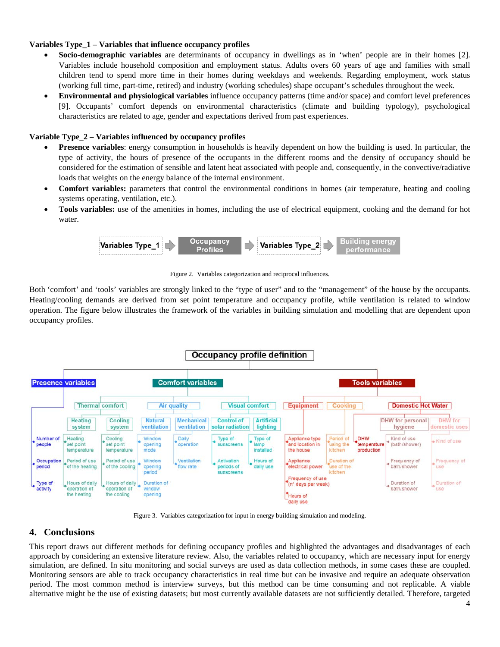## **Variables Type\_1 – Variables that influence occupancy profiles**

- **Socio-demographic variables** are determinants of occupancy in dwellings as in 'when' people are in their homes [2]. Variables include household composition and employment status. Adults overs 60 years of age and families with small children tend to spend more time in their homes during weekdays and weekends. Regarding employment, work status (working full time, part-time, retired) and industry (working schedules) shape occupant's schedules throughout the week.
- **Environmental and physiological variables** influence occupancy patterns (time and/or space) and comfort level preferences [9]. Occupants' comfort depends on environmental characteristics (climate and building typology), psychological characteristics are related to age, gender and expectations derived from past experiences.

## **Variable Type\_2 – Variables influenced by occupancy profiles**

- **Presence variables**: energy consumption in households is heavily dependent on how the building is used. In particular, the type of activity, the hours of presence of the occupants in the different rooms and the density of occupancy should be considered for the estimation of sensible and latent heat associated with people and, consequently, in the convective/radiative loads that weights on the energy balance of the internal environment.
- **Comfort variables:** parameters that control the environmental conditions in homes (air temperature, heating and cooling systems operating, ventilation, etc.).
- **Tools variables:** use of the amenities in homes, including the use of electrical equipment, cooking and the demand for hot water.



Figure 2. Variables categorization and reciprocal influences.

Both 'comfort' and 'tools' variables are strongly linked to the "type of user" and to the "management" of the house by the occupants. Heating/cooling demands are derived from set point temperature and occupancy profile, while ventilation is related to window operation. The figure below illustrates the framework of the variables in building simulation and modelling that are dependent upon occupancy profiles.



Figure 3. Variables categorization for input in energy building simulation and modeling.

## **4. Conclusions**

This report draws out different methods for defining occupancy profiles and highlighted the advantages and disadvantages of each approach by considering an extensive literature review. Also, the variables related to occupancy, which are necessary input for energy simulation, are defined. In situ monitoring and social surveys are used as data collection methods, in some cases these are coupled. Monitoring sensors are able to track occupancy characteristics in real time but can be invasive and require an adequate observation period. The most common method is interview surveys, but this method can be time consuming and not replicable. A viable alternative might be the use of existing datasets; but most currently available datasets are not sufficiently detailed. Therefore, targeted